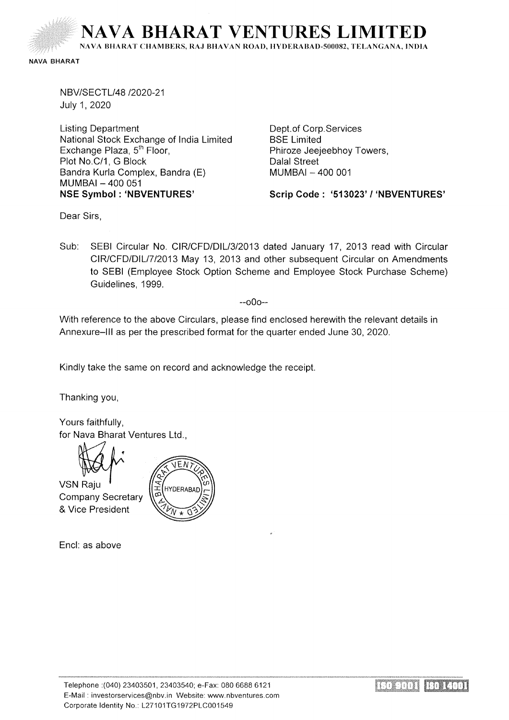

NAVA BHARAT

NBV/SECTL/48 /2020-21 July 1, 2020

Listing Department National Stock Exchange of India Limited Exchange Plaza, 5<sup>th</sup> Floor, Plot No.C/1, G Block Bandra Kurla Complex, Bandra (E) MUMBAI- 400 051 **NSE Symbol : 'NBVENTURES'** 

Dept.of Corp.Services BSE Limited Phiroze Jeejeebhoy Towers, Dalal Street MUMBAI - 400 001

**Scrip Code : '513023' I 'NBVENTURES'** 

Dear Sirs,

Sub: SEBI Circular No. CIR/CFD/DIL/3/2013 dated January 17, 2013 read with Circular CIR/CFD/DIL/7 /2013 May 13, 2013 and other subsequent Circular on Amendments to SEBI (Employee Stock Option Scheme and Employee Stock Purchase Scheme) Guidelines, 1999.

--000--

With reference to the above Circulars, please find enclosed herewith the relevant details in Annexure-Ill as per the prescribed format for the quarter ended June 30, 2020.

Kindly take the same on record and acknowledge the receipt.

Thanking you,

Yours faithfully, for Nava Bharat Ventures Ltd.,



VSN Raiu Company Secretary & Vice President



Encl: as above